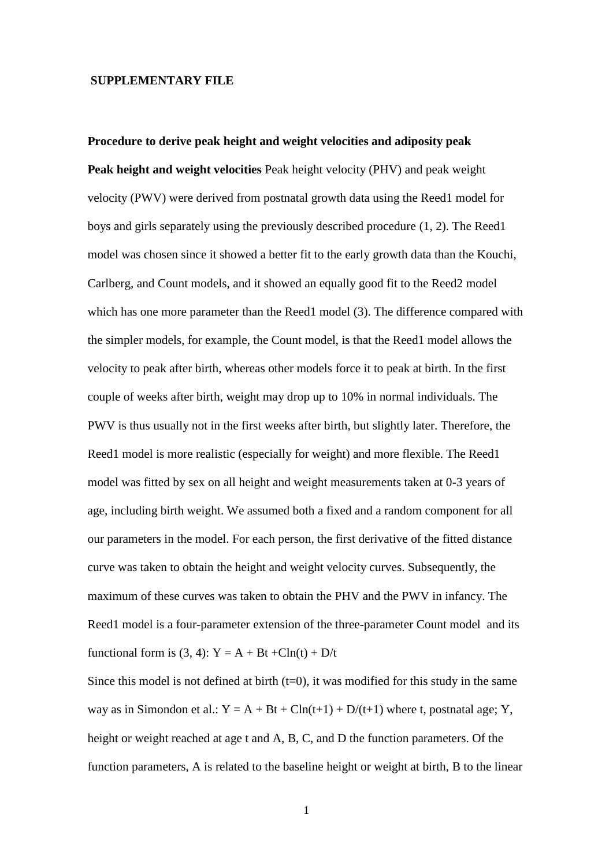## **SUPPLEMENTARY FILE**

**Procedure to derive peak height and weight velocities and adiposity peak Peak height and weight velocities** Peak height velocity (PHV) and peak weight velocity (PWV) were derived from postnatal growth data using the Reed1 model for boys and girls separately using the previously described procedure (1, 2). The Reed1 model was chosen since it showed a better fit to the early growth data than the Kouchi, Carlberg, and Count models, and it showed an equally good fit to the Reed2 model which has one more parameter than the Reed1 model (3). The difference compared with the simpler models, for example, the Count model, is that the Reed1 model allows the velocity to peak after birth, whereas other models force it to peak at birth. In the first couple of weeks after birth, weight may drop up to 10% in normal individuals. The PWV is thus usually not in the first weeks after birth, but slightly later. Therefore, the Reed1 model is more realistic (especially for weight) and more flexible. The Reed1 model was fitted by sex on all height and weight measurements taken at 0-3 years of age, including birth weight. We assumed both a fixed and a random component for all our parameters in the model. For each person, the first derivative of the fitted distance curve was taken to obtain the height and weight velocity curves. Subsequently, the maximum of these curves was taken to obtain the PHV and the PWV in infancy. The Reed1 model is a four-parameter extension of the three-parameter Count model and its functional form is  $(3, 4)$ :  $Y = A + Bt + Cln(t) + D/t$ 

Since this model is not defined at birth  $(t=0)$ , it was modified for this study in the same way as in Simondon et al.:  $Y = A + Bt + C\ln(t+1) + D/(t+1)$  where t, postnatal age; Y, height or weight reached at age t and A, B, C, and D the function parameters. Of the function parameters, A is related to the baseline height or weight at birth, B to the linear

1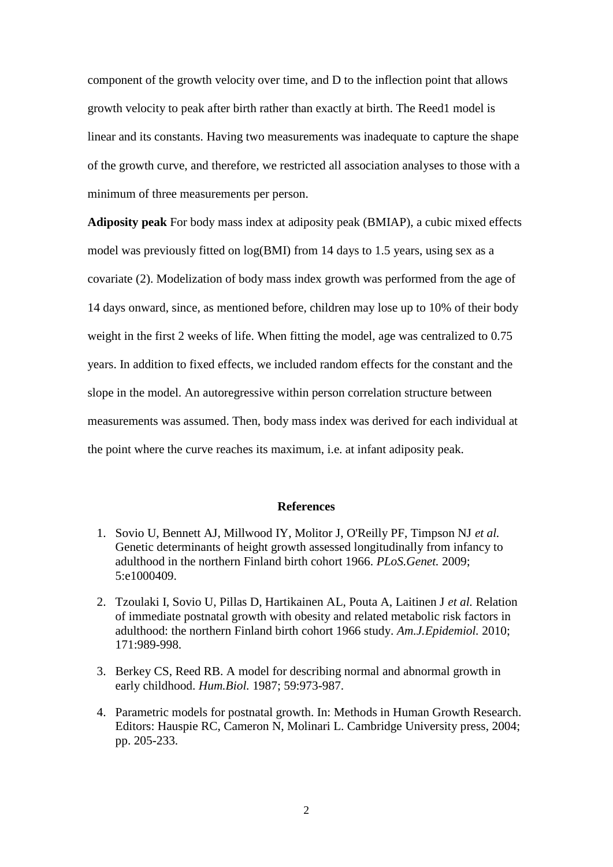component of the growth velocity over time, and D to the inflection point that allows growth velocity to peak after birth rather than exactly at birth. The Reed1 model is linear and its constants. Having two measurements was inadequate to capture the shape of the growth curve, and therefore, we restricted all association analyses to those with a minimum of three measurements per person.

**Adiposity peak** For body mass index at adiposity peak (BMIAP), a cubic mixed effects model was previously fitted on log(BMI) from 14 days to 1.5 years, using sex as a covariate (2). Modelization of body mass index growth was performed from the age of 14 days onward, since, as mentioned before, children may lose up to 10% of their body weight in the first 2 weeks of life. When fitting the model, age was centralized to 0.75 years. In addition to fixed effects, we included random effects for the constant and the slope in the model. An autoregressive within person correlation structure between measurements was assumed. Then, body mass index was derived for each individual at the point where the curve reaches its maximum, i.e. at infant adiposity peak.

## **References**

- 1. Sovio U, Bennett AJ, Millwood IY, Molitor J, O'Reilly PF, Timpson NJ *et al.* Genetic determinants of height growth assessed longitudinally from infancy to adulthood in the northern Finland birth cohort 1966. *PLoS.Genet.* 2009; 5:e1000409.
- 2. Tzoulaki I, Sovio U, Pillas D, Hartikainen AL, Pouta A, Laitinen J *et al.* Relation of immediate postnatal growth with obesity and related metabolic risk factors in adulthood: the northern Finland birth cohort 1966 study. *Am.J.Epidemiol.* 2010; 171:989-998.
- 3. Berkey CS, Reed RB. A model for describing normal and abnormal growth in early childhood. *Hum.Biol.* 1987; 59:973-987.
- 4. Parametric models for postnatal growth. In: Methods in Human Growth Research. Editors: Hauspie RC, Cameron N, Molinari L. Cambridge University press, 2004; pp. 205-233.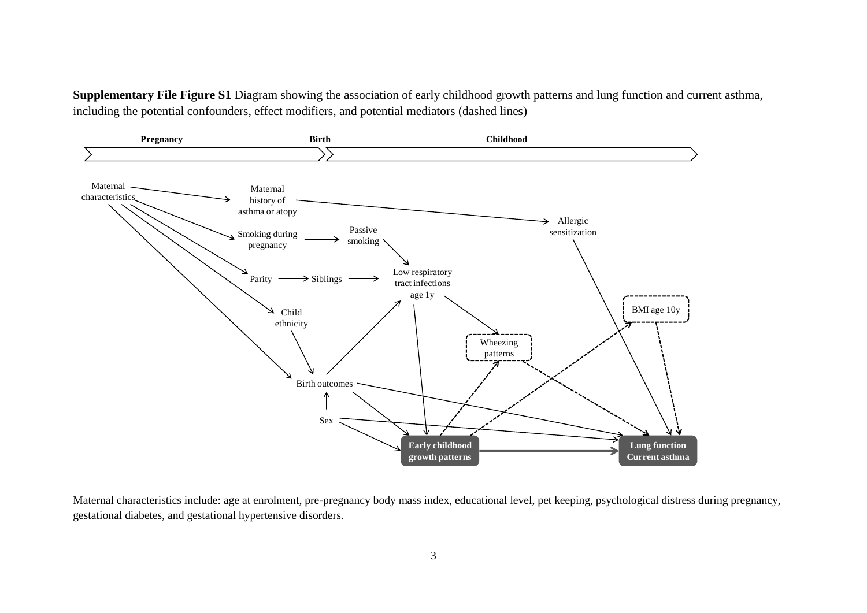**Supplementary File Figure S1** Diagram showing the association of early childhood growth patterns and lung function and current asthma, including the potential confounders, effect modifiers, and potential mediators (dashed lines)



Maternal characteristics include: age at enrolment, pre-pregnancy body mass index, educational level, pet keeping, psychological distress during pregnancy, gestational diabetes, and gestational hypertensive disorders.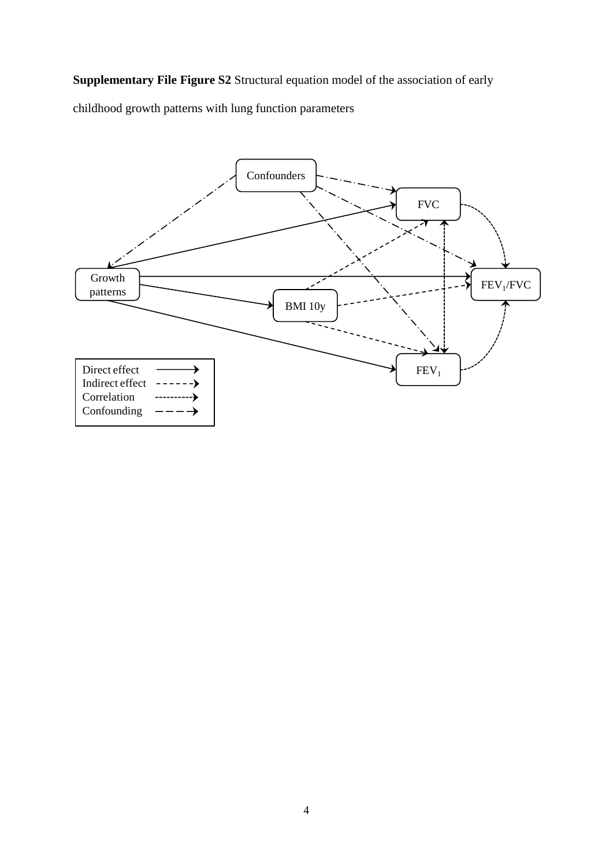**Supplementary File Figure S2** Structural equation model of the association of early

childhood growth patterns with lung function parameters

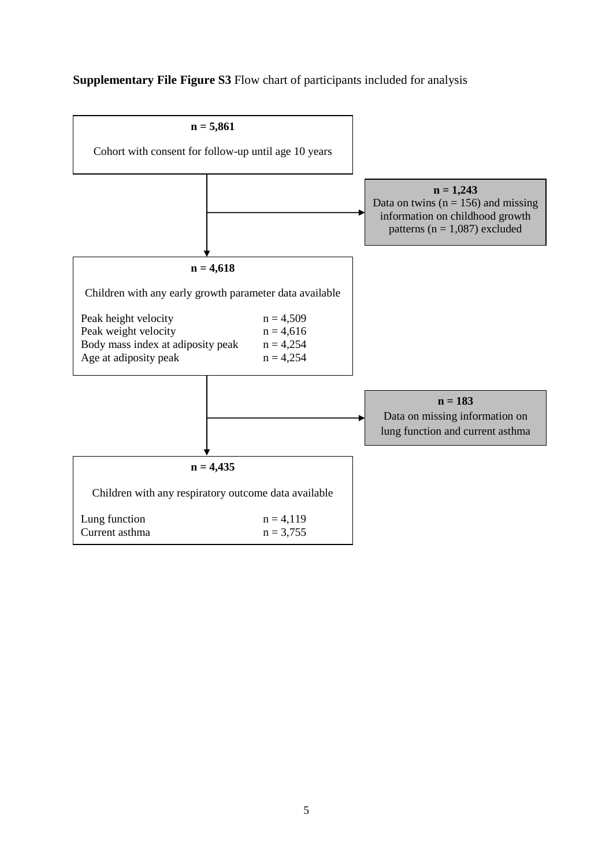## **Supplementary File Figure S3** Flow chart of participants included for analysis

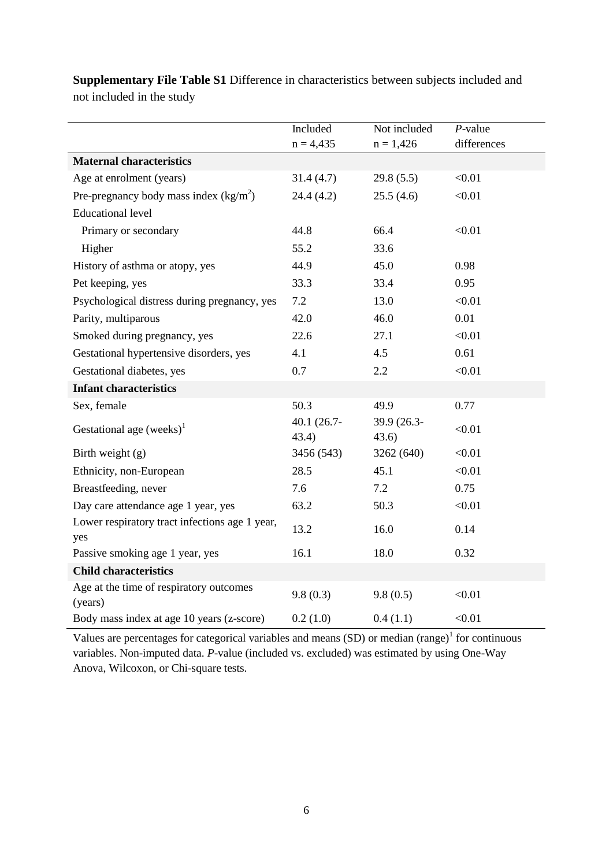|                                                       | Included             | Not included          | $P$ -value  |
|-------------------------------------------------------|----------------------|-----------------------|-------------|
|                                                       | $n = 4,435$          | $n = 1,426$           | differences |
| <b>Maternal characteristics</b>                       |                      |                       |             |
| Age at enrolment (years)                              | 31.4(4.7)            | 29.8(5.5)             | < 0.01      |
| Pre-pregnancy body mass index $(kg/m2)$               | 24.4 (4.2)           | 25.5(4.6)             | < 0.01      |
| <b>Educational level</b>                              |                      |                       |             |
| Primary or secondary                                  | 44.8                 | 66.4                  | < 0.01      |
| Higher                                                | 55.2                 | 33.6                  |             |
| History of asthma or atopy, yes                       | 44.9                 | 45.0                  | 0.98        |
| Pet keeping, yes                                      | 33.3                 | 33.4                  | 0.95        |
| Psychological distress during pregnancy, yes          | 7.2                  | 13.0                  | < 0.01      |
| Parity, multiparous                                   | 42.0                 | 46.0                  | 0.01        |
| Smoked during pregnancy, yes                          | 22.6                 | 27.1                  | < 0.01      |
| Gestational hypertensive disorders, yes               | 4.1                  | 4.5                   | 0.61        |
| Gestational diabetes, yes                             | 0.7                  | 2.2                   | < 0.01      |
| <b>Infant characteristics</b>                         |                      |                       |             |
| Sex, female                                           | 50.3                 | 49.9                  | 0.77        |
| Gestational age $(weeks)^{1}$                         | 40.1 (26.7-<br>43.4) | 39.9 (26.3-<br>(43.6) | < 0.01      |
| Birth weight (g)                                      | 3456 (543)           | 3262 (640)            | < 0.01      |
| Ethnicity, non-European                               | 28.5                 | 45.1                  | < 0.01      |
| Breastfeeding, never                                  | 7.6                  | 7.2                   | 0.75        |
| Day care attendance age 1 year, yes                   | 63.2                 | 50.3                  | < 0.01      |
| Lower respiratory tract infections age 1 year,<br>yes | 13.2                 | 16.0                  | 0.14        |
| Passive smoking age 1 year, yes                       | 16.1                 | 18.0                  | 0.32        |
| <b>Child characteristics</b>                          |                      |                       |             |
| Age at the time of respiratory outcomes<br>(years)    | 9.8(0.3)             | 9.8(0.5)              | < 0.01      |
| Body mass index at age 10 years (z-score)             | 0.2(1.0)             | 0.4(1.1)              | < 0.01      |

**Supplementary File Table S1** Difference in characteristics between subjects included and not included in the study

Values are percentages for categorical variables and means  $(SD)$  or median (range)<sup>1</sup> for continuous variables. Non-imputed data. *P*-value (included vs. excluded) was estimated by using One-Way Anova, Wilcoxon, or Chi-square tests.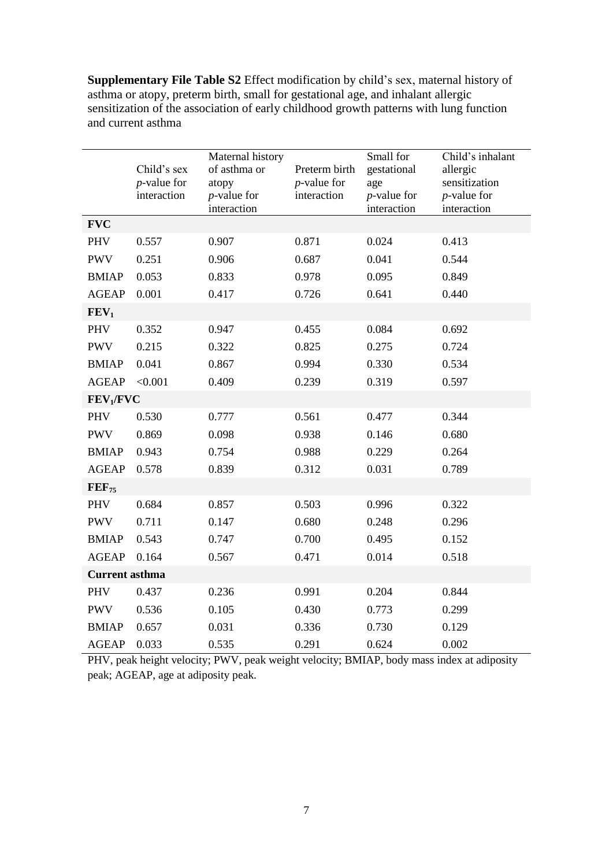**Supplementary File Table S2** Effect modification by child's sex, maternal history of asthma or atopy, preterm birth, small for gestational age, and inhalant allergic sensitization of the association of early childhood growth patterns with lung function and current asthma

|                       | Child's sex<br>$p$ -value for<br>interaction | Maternal history<br>of asthma or<br>atopy<br>$p$ -value for<br>interaction | Preterm birth<br>$p$ -value for<br>interaction | Small for<br>gestational<br>age<br>$p$ -value for<br>interaction | Child's inhalant<br>allergic<br>sensitization<br>$p$ -value for<br>interaction |
|-----------------------|----------------------------------------------|----------------------------------------------------------------------------|------------------------------------------------|------------------------------------------------------------------|--------------------------------------------------------------------------------|
| <b>FVC</b>            |                                              |                                                                            |                                                |                                                                  |                                                                                |
| <b>PHV</b>            | 0.557                                        | 0.907                                                                      | 0.871                                          | 0.024                                                            | 0.413                                                                          |
| <b>PWV</b>            | 0.251                                        | 0.906                                                                      | 0.687                                          | 0.041                                                            | 0.544                                                                          |
| <b>BMIAP</b>          | 0.053                                        | 0.833                                                                      | 0.978                                          | 0.095                                                            | 0.849                                                                          |
| <b>AGEAP</b>          | 0.001                                        | 0.417                                                                      | 0.726                                          | 0.641                                                            | 0.440                                                                          |
| FEV <sub>1</sub>      |                                              |                                                                            |                                                |                                                                  |                                                                                |
| <b>PHV</b>            | 0.352                                        | 0.947                                                                      | 0.455                                          | 0.084                                                            | 0.692                                                                          |
| <b>PWV</b>            | 0.215                                        | 0.322                                                                      | 0.825                                          | 0.275                                                            | 0.724                                                                          |
| <b>BMIAP</b>          | 0.041                                        | 0.867                                                                      | 0.994                                          | 0.330                                                            | 0.534                                                                          |
| <b>AGEAP</b>          | < 0.001                                      | 0.409                                                                      | 0.239                                          | 0.319                                                            | 0.597                                                                          |
| FEV <sub>1</sub> /FVC |                                              |                                                                            |                                                |                                                                  |                                                                                |
| <b>PHV</b>            | 0.530                                        | 0.777                                                                      | 0.561                                          | 0.477                                                            | 0.344                                                                          |
| <b>PWV</b>            | 0.869                                        | 0.098                                                                      | 0.938                                          | 0.146                                                            | 0.680                                                                          |
| <b>BMIAP</b>          | 0.943                                        | 0.754                                                                      | 0.988                                          | 0.229                                                            | 0.264                                                                          |
| <b>AGEAP</b>          | 0.578                                        | 0.839                                                                      | 0.312                                          | 0.031                                                            | 0.789                                                                          |
| $FEF_{75}$            |                                              |                                                                            |                                                |                                                                  |                                                                                |
| <b>PHV</b>            | 0.684                                        | 0.857                                                                      | 0.503                                          | 0.996                                                            | 0.322                                                                          |
| <b>PWV</b>            | 0.711                                        | 0.147                                                                      | 0.680                                          | 0.248                                                            | 0.296                                                                          |
| <b>BMIAP</b>          | 0.543                                        | 0.747                                                                      | 0.700                                          | 0.495                                                            | 0.152                                                                          |
| <b>AGEAP</b>          | 0.164                                        | 0.567                                                                      | 0.471                                          | 0.014                                                            | 0.518                                                                          |
| <b>Current asthma</b> |                                              |                                                                            |                                                |                                                                  |                                                                                |
| PHV                   | 0.437                                        | 0.236                                                                      | 0.991                                          | 0.204                                                            | 0.844                                                                          |
| <b>PWV</b>            | 0.536                                        | 0.105                                                                      | 0.430                                          | 0.773                                                            | 0.299                                                                          |
| <b>BMIAP</b>          | 0.657                                        | 0.031                                                                      | 0.336                                          | 0.730                                                            | 0.129                                                                          |
| <b>AGEAP</b>          | 0.033                                        | 0.535                                                                      | 0.291                                          | 0.624                                                            | 0.002                                                                          |

PHV, peak height velocity; PWV, peak weight velocity; BMIAP, body mass index at adiposity peak; AGEAP, age at adiposity peak.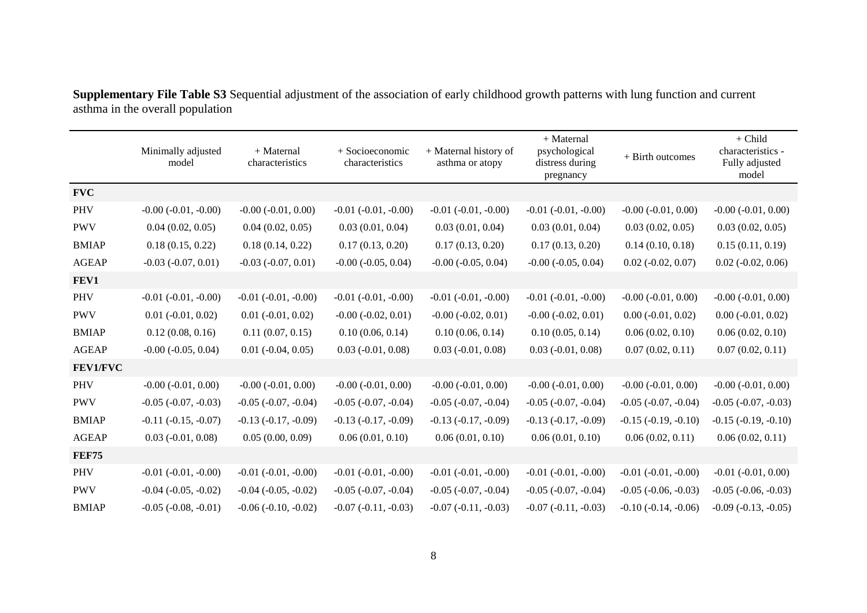|              | Minimally adjusted<br>model | + Maternal<br>characteristics | $+$ Socioeconomic<br>characteristics | + Maternal history of<br>asthma or atopy | + Maternal<br>psychological<br>distress during<br>pregnancy | + Birth outcomes         | $+$ Child<br>characteristics -<br>Fully adjusted<br>model |
|--------------|-----------------------------|-------------------------------|--------------------------------------|------------------------------------------|-------------------------------------------------------------|--------------------------|-----------------------------------------------------------|
| <b>FVC</b>   |                             |                               |                                      |                                          |                                                             |                          |                                                           |
| <b>PHV</b>   | $-0.00$ $(-0.01, -0.00)$    | $-0.00$ $(-0.01, 0.00)$       | $-0.01$ $(-0.01, -0.00)$             | $-0.01$ $(-0.01, -0.00)$                 | $-0.01 (-0.01, -0.00)$                                      | $-0.00$ $(-0.01, 0.00)$  | $-0.00$ $(-0.01, 0.00)$                                   |
| <b>PWV</b>   | 0.04(0.02, 0.05)            | 0.04(0.02, 0.05)              | 0.03(0.01, 0.04)                     | 0.03(0.01, 0.04)                         | 0.03(0.01, 0.04)                                            | 0.03(0.02, 0.05)         | 0.03(0.02, 0.05)                                          |
| <b>BMIAP</b> | 0.18(0.15, 0.22)            | 0.18(0.14, 0.22)              | 0.17(0.13, 0.20)                     | 0.17(0.13, 0.20)                         | 0.17(0.13, 0.20)                                            | 0.14(0.10, 0.18)         | 0.15(0.11, 0.19)                                          |
| <b>AGEAP</b> | $-0.03$ $(-0.07, 0.01)$     | $-0.03$ $(-0.07, 0.01)$       | $-0.00$ $(-0.05, 0.04)$              | $-0.00$ $(-0.05, 0.04)$                  | $-0.00$ $(-0.05, 0.04)$                                     | $0.02 (-0.02, 0.07)$     | $0.02$ (-0.02, 0.06)                                      |
| FEV1         |                             |                               |                                      |                                          |                                                             |                          |                                                           |
| <b>PHV</b>   | $-0.01$ $(-0.01, -0.00)$    | $-0.01$ $(-0.01, -0.00)$      | $-0.01$ $(-0.01, -0.00)$             | $-0.01$ $(-0.01, -0.00)$                 | $-0.01 (-0.01, -0.00)$                                      | $-0.00$ $(-0.01, 0.00)$  | $-0.00$ $(-0.01, 0.00)$                                   |
| <b>PWV</b>   | $0.01 (-0.01, 0.02)$        | $0.01 (-0.01, 0.02)$          | $-0.00$ $(-0.02, 0.01)$              | $-0.00$ $(-0.02, 0.01)$                  | $-0.00$ $(-0.02, 0.01)$                                     | $0.00 (-0.01, 0.02)$     | $0.00 (-0.01, 0.02)$                                      |
| <b>BMIAP</b> | 0.12(0.08, 0.16)            | 0.11(0.07, 0.15)              | 0.10(0.06, 0.14)                     | 0.10(0.06, 0.14)                         | 0.10(0.05, 0.14)                                            | 0.06(0.02, 0.10)         | 0.06(0.02, 0.10)                                          |
| <b>AGEAP</b> | $-0.00$ $(-0.05, 0.04)$     | $0.01 (-0.04, 0.05)$          | $0.03$ ( $-0.01$ , $0.08$ )          | $0.03$ ( $-0.01$ , $0.08$ )              | $0.03$ ( $-0.01$ , $0.08$ )                                 | 0.07(0.02, 0.11)         | 0.07(0.02, 0.11)                                          |
| FEV1/FVC     |                             |                               |                                      |                                          |                                                             |                          |                                                           |
| <b>PHV</b>   | $-0.00$ $(-0.01, 0.00)$     | $-0.00$ $(-0.01, 0.00)$       | $-0.00 (-0.01, 0.00)$                | $-0.00$ $(-0.01, 0.00)$                  | $-0.00$ $(-0.01, 0.00)$                                     | $-0.00$ $(-0.01, 0.00)$  | $-0.00$ $(-0.01, 0.00)$                                   |
| <b>PWV</b>   | $-0.05$ $(-0.07, -0.03)$    | $-0.05$ $(-0.07, -0.04)$      | $-0.05$ $(-0.07, -0.04)$             | $-0.05$ $(-0.07, -0.04)$                 | $-0.05$ $(-0.07, -0.04)$                                    | $-0.05$ $(-0.07, -0.04)$ | $-0.05$ $(-0.07, -0.03)$                                  |
| <b>BMIAP</b> | $-0.11$ $(-0.15, -0.07)$    | $-0.13$ $(-0.17, -0.09)$      | $-0.13$ $(-0.17, -0.09)$             | $-0.13$ $(-0.17, -0.09)$                 | $-0.13$ $(-0.17, -0.09)$                                    | $-0.15$ $(-0.19, -0.10)$ | $-0.15$ $(-0.19, -0.10)$                                  |
| <b>AGEAP</b> | $0.03$ (-0.01, 0.08)        | 0.05(0.00, 0.09)              | 0.06(0.01, 0.10)                     | 0.06(0.01, 0.10)                         | 0.06(0.01, 0.10)                                            | 0.06(0.02, 0.11)         | 0.06(0.02, 0.11)                                          |
| <b>FEF75</b> |                             |                               |                                      |                                          |                                                             |                          |                                                           |
| <b>PHV</b>   | $-0.01$ $(-0.01, -0.00)$    | $-0.01$ $(-0.01, -0.00)$      | $-0.01$ $(-0.01, -0.00)$             | $-0.01$ $(-0.01, -0.00)$                 | $-0.01$ $(-0.01, -0.00)$                                    | $-0.01$ $(-0.01, -0.00)$ | $-0.01 (-0.01, 0.00)$                                     |
| <b>PWV</b>   | $-0.04$ $(-0.05, -0.02)$    | $-0.04$ $(-0.05, -0.02)$      | $-0.05$ $(-0.07, -0.04)$             | $-0.05$ $(-0.07, -0.04)$                 | $-0.05$ $(-0.07, -0.04)$                                    | $-0.05$ $(-0.06, -0.03)$ | $-0.05$ $(-0.06, -0.03)$                                  |
| <b>BMIAP</b> | $-0.05$ $(-0.08, -0.01)$    | $-0.06$ $(-0.10, -0.02)$      | $-0.07$ $(-0.11, -0.03)$             | $-0.07(-0.11, -0.03)$                    | $-0.07$ $(-0.11, -0.03)$                                    | $-0.10$ $(-0.14, -0.06)$ | $-0.09$ $(-0.13, -0.05)$                                  |

**Supplementary File Table S3** Sequential adjustment of the association of early childhood growth patterns with lung function and current asthma in the overall population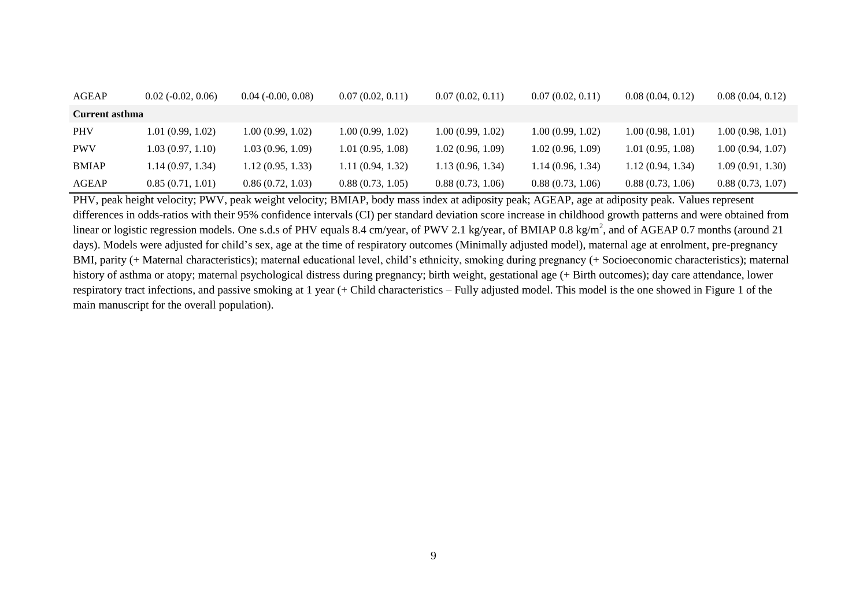| AGEAP          | $0.02$ ( $-0.02$ , $0.06$ ) | $0.04$ ( $-0.00, 0.08$ ) | 0.07(0.02, 0.11)  | 0.07(0.02, 0.11) | 0.07(0.02, 0.11) | 0.08(0.04, 0.12)  | 0.08(0.04, 0.12) |
|----------------|-----------------------------|--------------------------|-------------------|------------------|------------------|-------------------|------------------|
| Current asthma |                             |                          |                   |                  |                  |                   |                  |
| <b>PHV</b>     | 1.01(0.99, 1.02)            | 1.00 (0.99, 1.02)        | 1.00 (0.99, 1.02) | 1.00(0.99, 1.02) | 1.00(0.99, 1.02) | 1.00(0.98, 1.01)  | 1.00(0.98, 1.01) |
| <b>PWV</b>     | 1.03(0.97, 1.10)            | 1.03(0.96, 1.09)         | 1.01(0.95, 1.08)  | 1.02(0.96, 1.09) | 1.02(0.96, 1.09) | 1.01(0.95, 1.08)  | 1.00(0.94, 1.07) |
| <b>BMIAP</b>   | 1.14(0.97, 1.34)            | 1.12(0.95, 1.33)         | 1.11(0.94, 1.32)  | 1.13(0.96, 1.34) | 1.14(0.96, 1.34) | 1.12 (0.94, 1.34) | 1.09(0.91, 1.30) |
| AGEAP          | 0.85(0.71, 1.01)            | 0.86(0.72, 1.03)         | 0.88(0.73, 1.05)  | 0.88(0.73, 1.06) | 0.88(0.73, 1.06) | 0.88(0.73, 1.06)  | 0.88(0.73, 1.07) |

PHV, peak height velocity; PWV, peak weight velocity; BMIAP, body mass index at adiposity peak; AGEAP, age at adiposity peak. Values represent differences in odds-ratios with their 95% confidence intervals (CI) per standard deviation score increase in childhood growth patterns and were obtained from linear or logistic regression models. One s.d.s of PHV equals 8.4 cm/year, of PWV 2.1 kg/year, of BMIAP 0.8 kg/m<sup>2</sup>, and of AGEAP 0.7 months (around 21 days). Models were adjusted for child's sex, age at the time of respiratory outcomes (Minimally adjusted model), maternal age at enrolment, pre-pregnancy BMI, parity (+ Maternal characteristics); maternal educational level, child's ethnicity, smoking during pregnancy (+ Socioeconomic characteristics); maternal history of asthma or atopy; maternal psychological distress during pregnancy; birth weight, gestational age (+ Birth outcomes); day care attendance, lower respiratory tract infections, and passive smoking at 1 year (+ Child characteristics – Fully adjusted model. This model is the one showed in Figure 1 of the main manuscript for the overall population).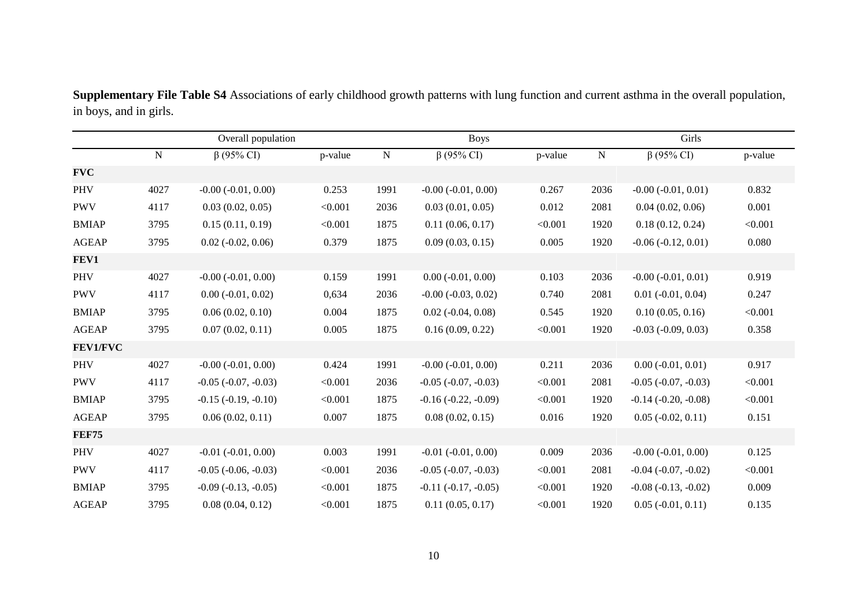Overall population Boys Girls N β (95% CI) p-value N β (95% CI) p-value N β (95% CI) p-value **FVC** PHV 4027 -0.00 (-0.01, 0.00) 0.253 1991 -0.00 (-0.01, 0.00) 0.267 2036 -0.00 (-0.01, 0.01) 0.832 PWV 4117 0.03 (0.02, 0.05) <0.001 2036 0.03 (0.01, 0.05) 0.012 2081 0.04 (0.02, 0.06) 0.001 BMIAP 3795 0.15 (0.11, 0.19) <0.001 1875 0.11 (0.06, 0.17) <0.001 1920 0.18 (0.12, 0.24) <0.001 AGEAP 3795 0.02 (-0.02, 0.06) 0.379 1875 0.09 (0.03, 0.15) 0.005 1920 -0.06 (-0.12, 0.01) 0.080 **FEV1** PHV 4027 -0.00 (-0.01, 0.00) 0.159 1991 0.00 (-0.01, 0.00) 0.103 2036 -0.00 (-0.01, 0.01) 0.919 PWV 4117 0.00 (-0.01, 0.02) 0,634 2036 -0.00 (-0.03, 0.02) 0.740 2081 0.01 (-0.01, 0.04) 0.247 BMIAP 3795 0.06 (0.02, 0.10) 0.004 1875 0.02 (-0.04, 0.08) 0.545 1920 0.10 (0.05, 0.16) <0.001 AGEAP 3795 0.07 (0.02, 0.11) 0.005 1875 0.16 (0.09, 0.22) <0.001 1920 -0.03 (-0.09, 0.03) 0.358 **FEV1/FVC** PHV 4027 -0.00 (-0.01, 0.00) 0.424 1991 -0.00 (-0.01, 0.00) 0.211 2036 0.00 (-0.01, 0.01) 0.917 PWV 4117 -0.05 (-0.07, -0.03) <0.001 2036 -0.05 (-0.07, -0.03) <0.001 2081 -0.05 (-0.07, -0.03) <0.001 BMIAP 3795 -0.15 (-0.19, -0.10) <0.001 1875 -0.16 (-0.22, -0.09) <0.001 1920 -0.14 (-0.20, -0.08) <0.001 AGEAP 3795 0.06 (0.02, 0.11) 0.007 1875 0.08 (0.02, 0.15) 0.016 1920 0.05 (-0.02, 0.11) 0.151 **FEF75** PHV 4027 -0.01 (-0.01, 0.00) 0.003 1991 -0.01 (-0.01, 0.00) 0.009 2036 -0.00 (-0.01, 0.00) 0.125 PWV 4117 -0.05 (-0.06, -0.03) <0.001 2036 -0.05 (-0.07, -0.03) <0.001 2081 -0.04 (-0.07, -0.02) <0.001 BMIAP 3795 -0.09 (-0.13, -0.05) <0.001 1875 -0.11 (-0.17, -0.05) <0.001 1920 -0.08 (-0.13, -0.02) 0.009 AGEAP 3795 0.08 (0.04, 0.12) <0.001 1875 0.11 (0.05, 0.17) <0.001 1920 0.05 (-0.01, 0.11) 0.135

**Supplementary File Table S4** Associations of early childhood growth patterns with lung function and current asthma in the overall population, in boys, and in girls.